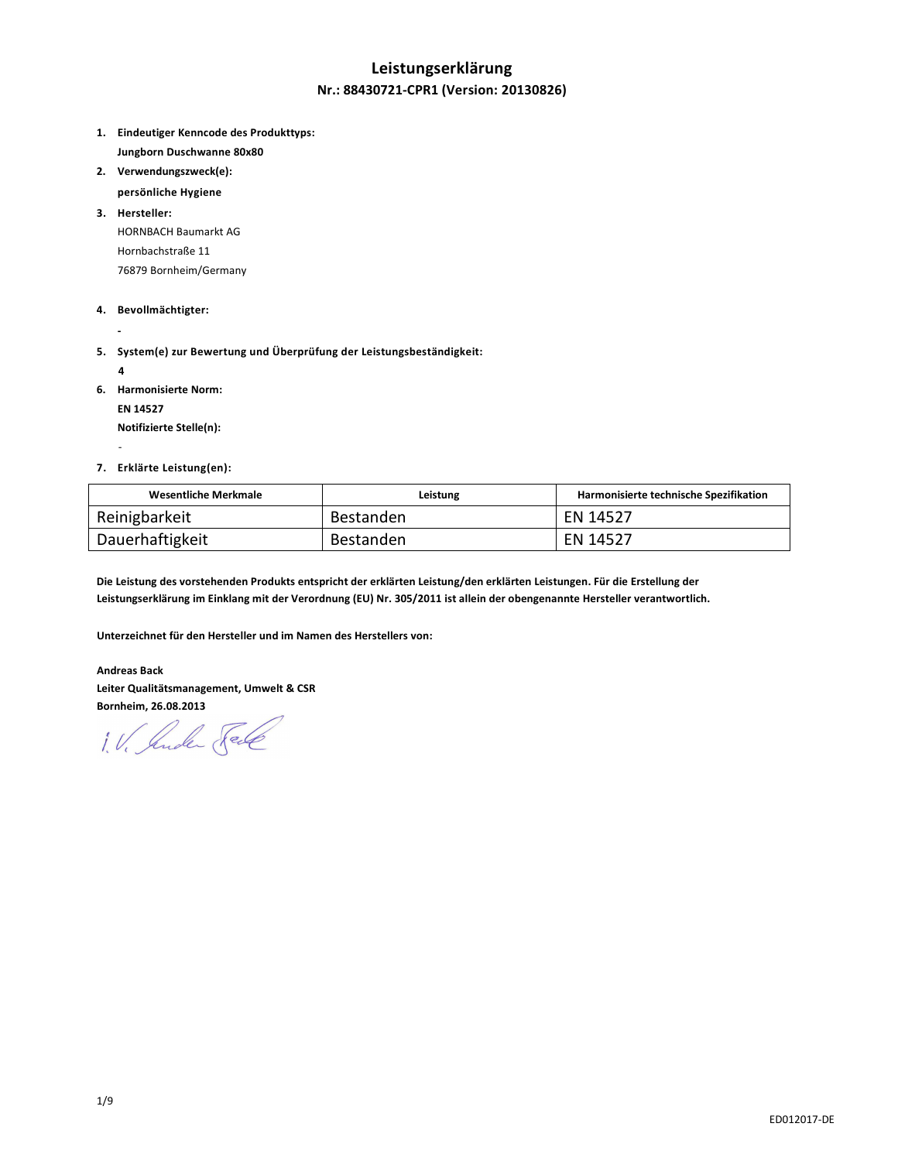# **Leistungserklärung**

### **Nr.: 88430721-CPR1 (Version: 20130826)**

- **1. Eindeutiger Kenncode des Produkttyps: Jungborn Duschwanne 80x80**
- **2. Verwendungszweck(e):** 
	- **persönliche Hygiene**
- **3. Hersteller:**  HORNBACH Baumarkt AG Hornbachstraße 11 76879 Bornheim/Germany
- **4. Bevollmächtigter:**
- **5. System(e) zur Bewertung und Überprüfung der Leistungsbeständigkeit:** 
	- **4**

 **-** 

-

- **6. Harmonisierte Norm:** 
	- **EN 14527**

 **Notifizierte Stelle(n):** 

**7. Erklärte Leistung(en):** 

| Wesentliche Merkmale | Leistung  | Harmonisierte technische Spezifikation |
|----------------------|-----------|----------------------------------------|
| Reinigbarkeit        | Bestanden | EN 14527                               |
| Dauerhaftigkeit      | Bestanden | EN 14527                               |

**Die Leistung des vorstehenden Produkts entspricht der erklärten Leistung/den erklärten Leistungen. Für die Erstellung der Leistungserklärung im Einklang mit der Verordnung (EU) Nr. 305/2011 ist allein der obengenannte Hersteller verantwortlich.** 

**Unterzeichnet für den Hersteller und im Namen des Herstellers von:** 

**Andreas Back Leiter Qualitätsmanagement, Umwelt & CSR Bornheim, 26.08.2013** 

1. V. Jude Sel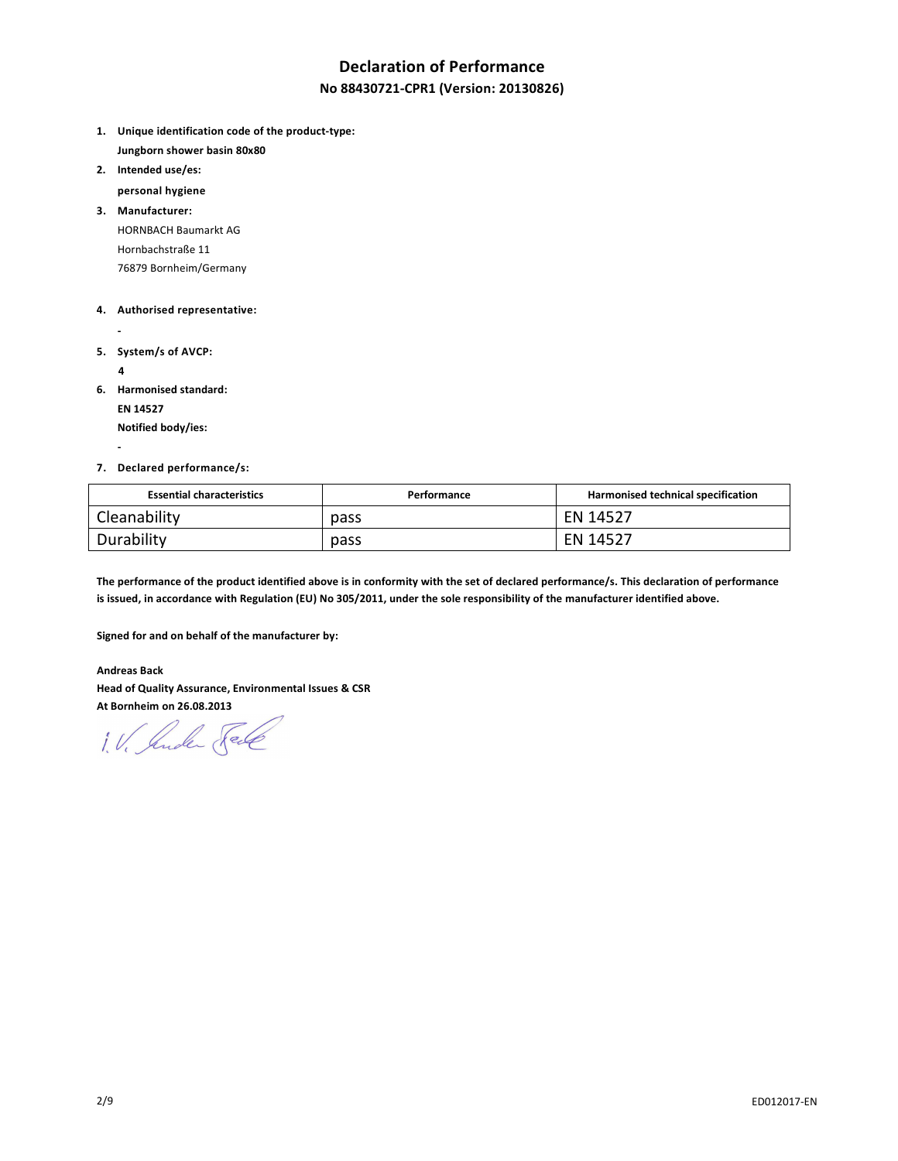# **Declaration of Performance**

### **No 88430721-CPR1 (Version: 20130826)**

- **1. Unique identification code of the product-type: Jungborn shower basin 80x80**
- **2. Intended use/es:**

 **personal hygiene** 

**3. Manufacturer:**  HORNBACH Baumarkt AG Hornbachstraße 11 76879 Bornheim/Germany

#### **4. Authorised representative:**

- 
- **5. System/s of AVCP:** 
	- **4**

 **-** 

**6. Harmonised standard:** 

 **EN 14527** 

 **Notified body/ies:** 

#### **7. Declared performance/s:**

| <b>Essential characteristics</b> | Performance | Harmonised technical specification |
|----------------------------------|-------------|------------------------------------|
| Cleanability                     | pass        | EN 14527                           |
| Durability                       | pass        | EN 14527                           |

**The performance of the product identified above is in conformity with the set of declared performance/s. This declaration of performance is issued, in accordance with Regulation (EU) No 305/2011, under the sole responsibility of the manufacturer identified above.** 

**Signed for and on behalf of the manufacturer by:** 

**Andreas Back Head of Quality Assurance, Environmental Issues & CSR At Bornheim on 26.08.2013** 

1. V. Suder Sele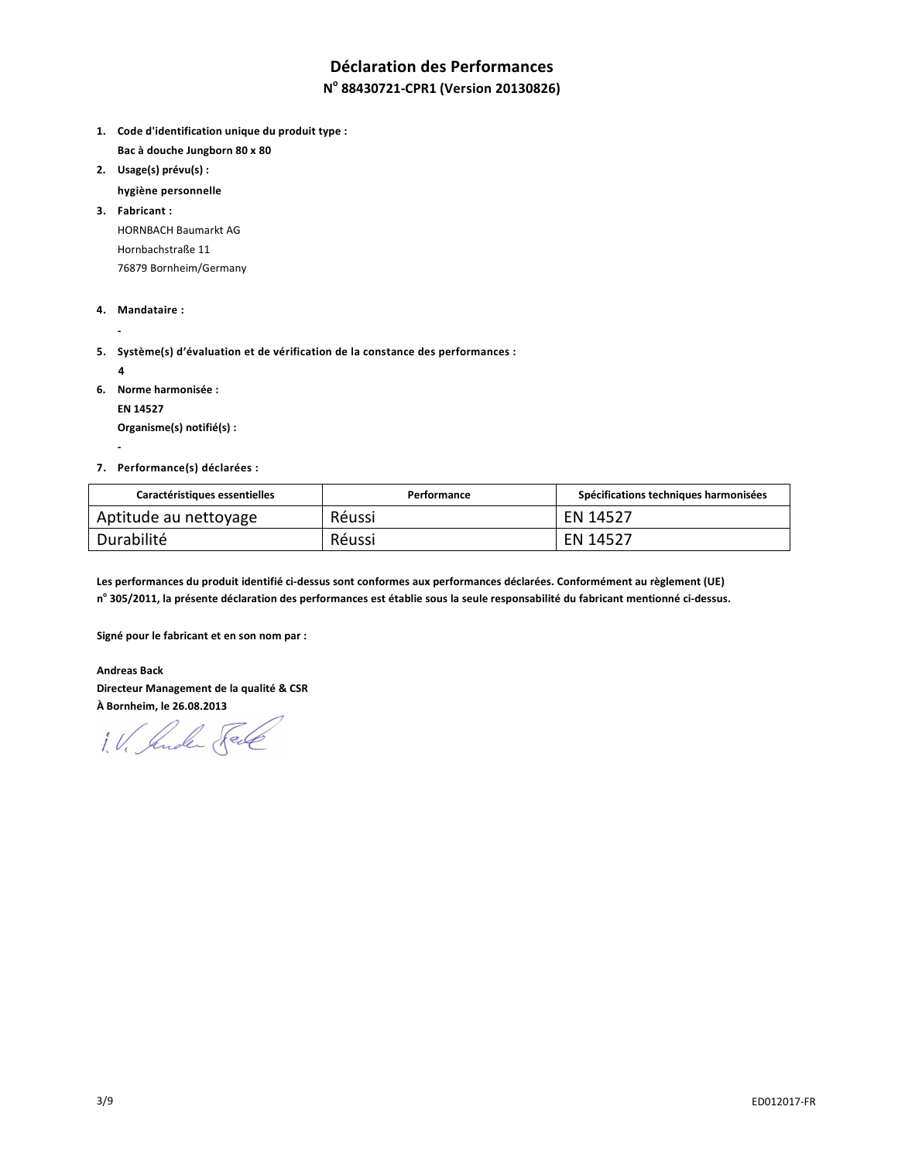# **Déclaration des Performances**

# **N o 88430721-CPR1 (Version 20130826)**

- **1. Code d'identification unique du produit type : Bac à douche Jungborn 80 x 80**
- **2. Usage(s) prévu(s) :** 
	- **hygiène personnelle**

**3. Fabricant :**  HORNBACH Baumarkt AG Hornbachstraße 11 76879 Bornheim/Germany

- **4. Mandataire :**
- **5. Système(s) d'évaluation et de vérification de la constance des performances :** 
	- **4**

 **-** 

 **-** 

**6. Norme harmonisée :** 

 **EN 14527** 

 **Organisme(s) notifié(s) :** 

**7. Performance(s) déclarées :** 

| Caractéristiques essentielles | Performance | Spécifications techniques harmonisées |
|-------------------------------|-------------|---------------------------------------|
| Aptitude au nettoyage         | Réussi      | EN 14527                              |
| Durabilité                    | Réussi      | EN 14527                              |

**Les performances du produit identifié ci-dessus sont conformes aux performances déclarées. Conformément au règlement (UE) n o 305/2011, la présente déclaration des performances est établie sous la seule responsabilité du fabricant mentionné ci-dessus.** 

**Signé pour le fabricant et en son nom par :** 

**Andreas Back Directeur Management de la qualité & CSR À Bornheim, le 26.08.2013** 

1. V. Suder Sele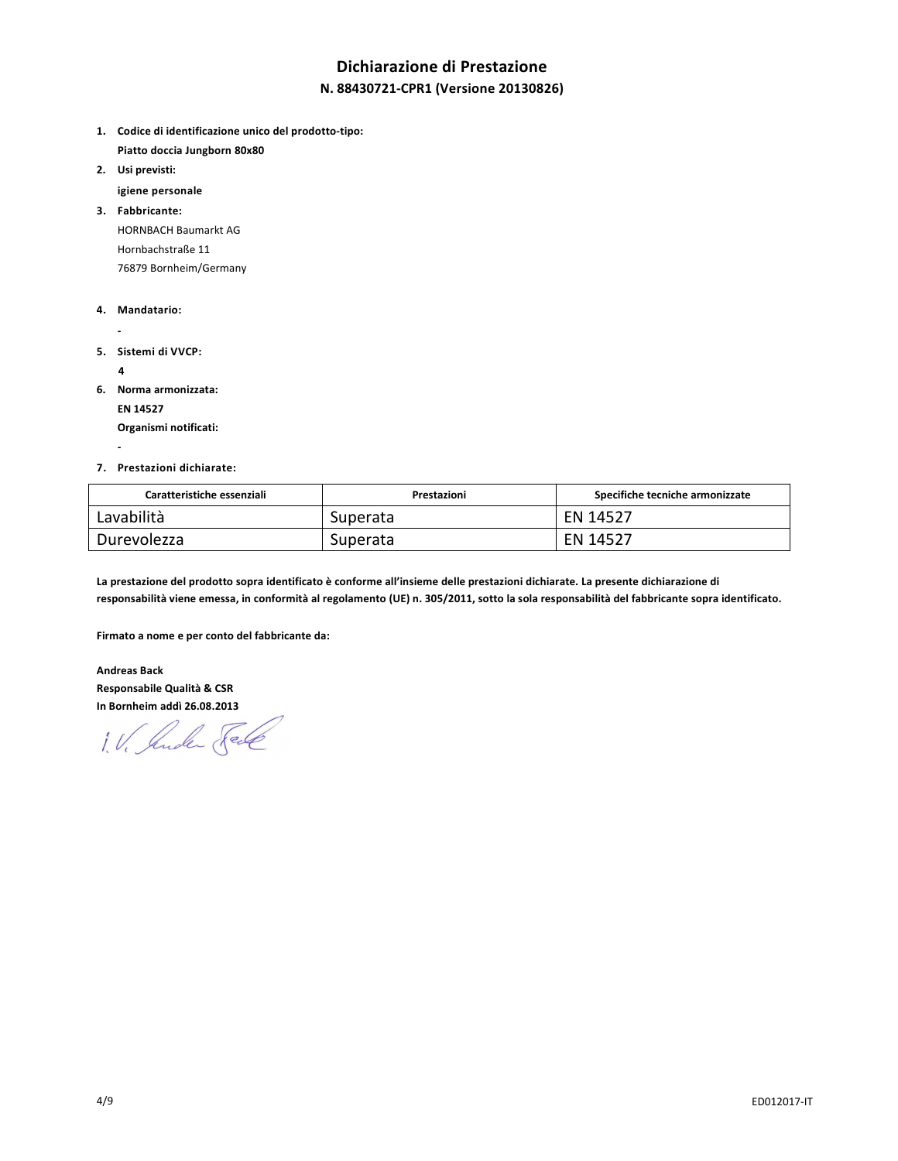# **Dichiarazione di Prestazione**

### **N. 88430721-CPR1 (Versione 20130826)**

- **1. Codice di identificazione unico del prodotto-tipo: Piatto doccia Jungborn 80x80**
- **2. Usi previsti:** 
	- **igiene personale**

**3. Fabbricante:**  HORNBACH Baumarkt AG Hornbachstraße 11 76879 Bornheim/Germany

- **4. Mandatario:**
- 
- **5. Sistemi di VVCP:** 
	- **4**

 **-** 

- **6. Norma armonizzata:** 
	- **EN 14527**

 **Organismi notificati:** 

**7. Prestazioni dichiarate:** 

| Caratteristiche essenziali | Prestazioni | Specifiche tecniche armonizzate |
|----------------------------|-------------|---------------------------------|
| Lavabilità                 | Superata    | EN 14527                        |
| Durevolezza                | Superata    | EN 14527                        |

**La prestazione del prodotto sopra identificato è conforme all'insieme delle prestazioni dichiarate. La presente dichiarazione di responsabilità viene emessa, in conformità al regolamento (UE) n. 305/2011, sotto la sola responsabilità del fabbricante sopra identificato.** 

**Firmato a nome e per conto del fabbricante da:** 

**Andreas Back Responsabile Qualità & CSR In Bornheim addì 26.08.2013** 

1. V. Jude Sel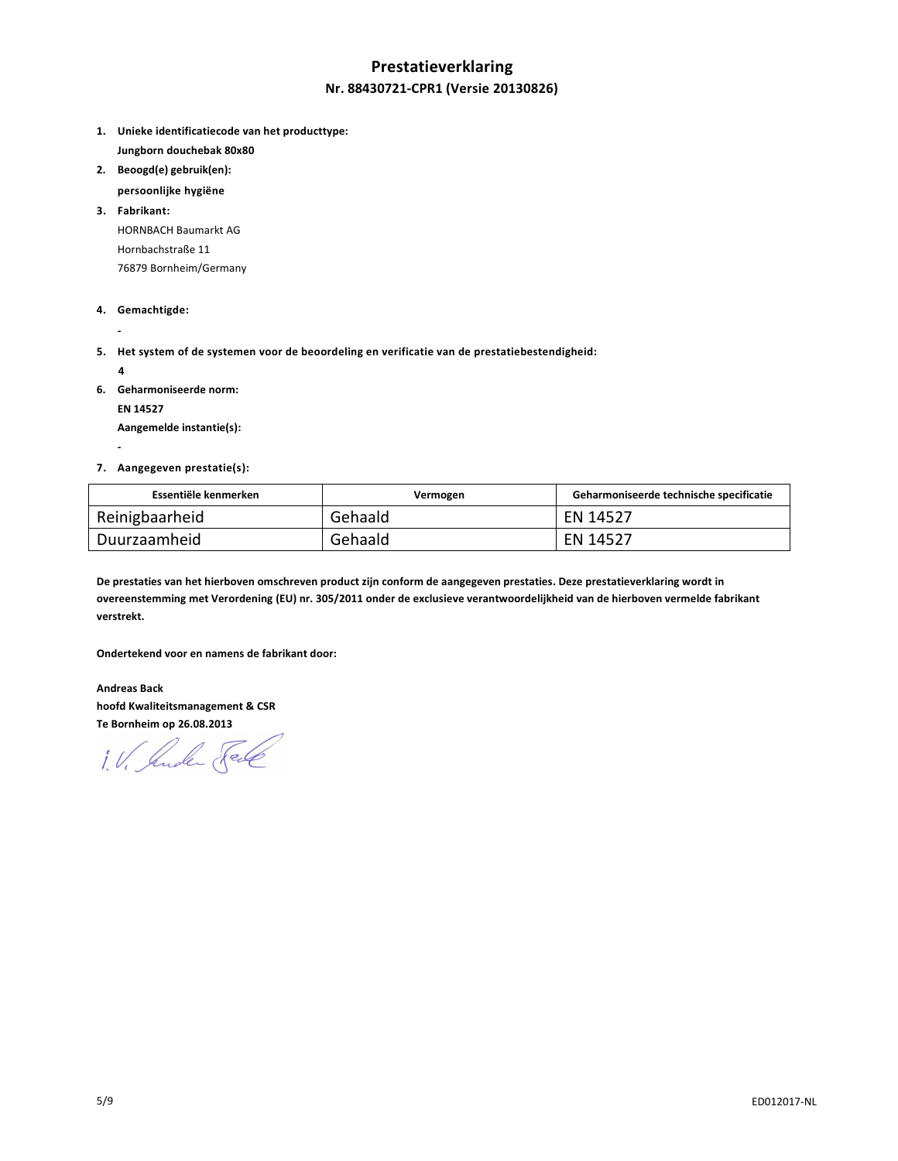# **Prestatieverklaring Nr. 88430721-CPR1 (Versie 20130826)**

- **1. Unieke identificatiecode van het producttype: Jungborn douchebak 80x80**
- **2. Beoogd(e) gebruik(en):**
- **persoonlijke hygiëne**

**3. Fabrikant:**  HORNBACH Baumarkt AG Hornbachstraße 11 76879 Bornheim/Germany

- **4. Gemachtigde:**
- **5. Het system of de systemen voor de beoordeling en verificatie van de prestatiebestendigheid:** 
	- **4**

 **-** 

 **-** 

**6. Geharmoniseerde norm:** 

 **EN 14527** 

 **Aangemelde instantie(s):** 

**7. Aangegeven prestatie(s):** 

| Essentiële kenmerken | Vermogen | Geharmoniseerde technische specificatie |
|----------------------|----------|-----------------------------------------|
| Reinigbaarheid       | Gehaald  | EN 14527                                |
| Duurzaamheid         | Gehaald  | EN 14527                                |

**De prestaties van het hierboven omschreven product zijn conform de aangegeven prestaties. Deze prestatieverklaring wordt in overeenstemming met Verordening (EU) nr. 305/2011 onder de exclusieve verantwoordelijkheid van de hierboven vermelde fabrikant verstrekt.** 

**Ondertekend voor en namens de fabrikant door:** 

**Andreas Back hoofd Kwaliteitsmanagement & CSR Te Bornheim op 26.08.2013** 

1. V. Suder Fele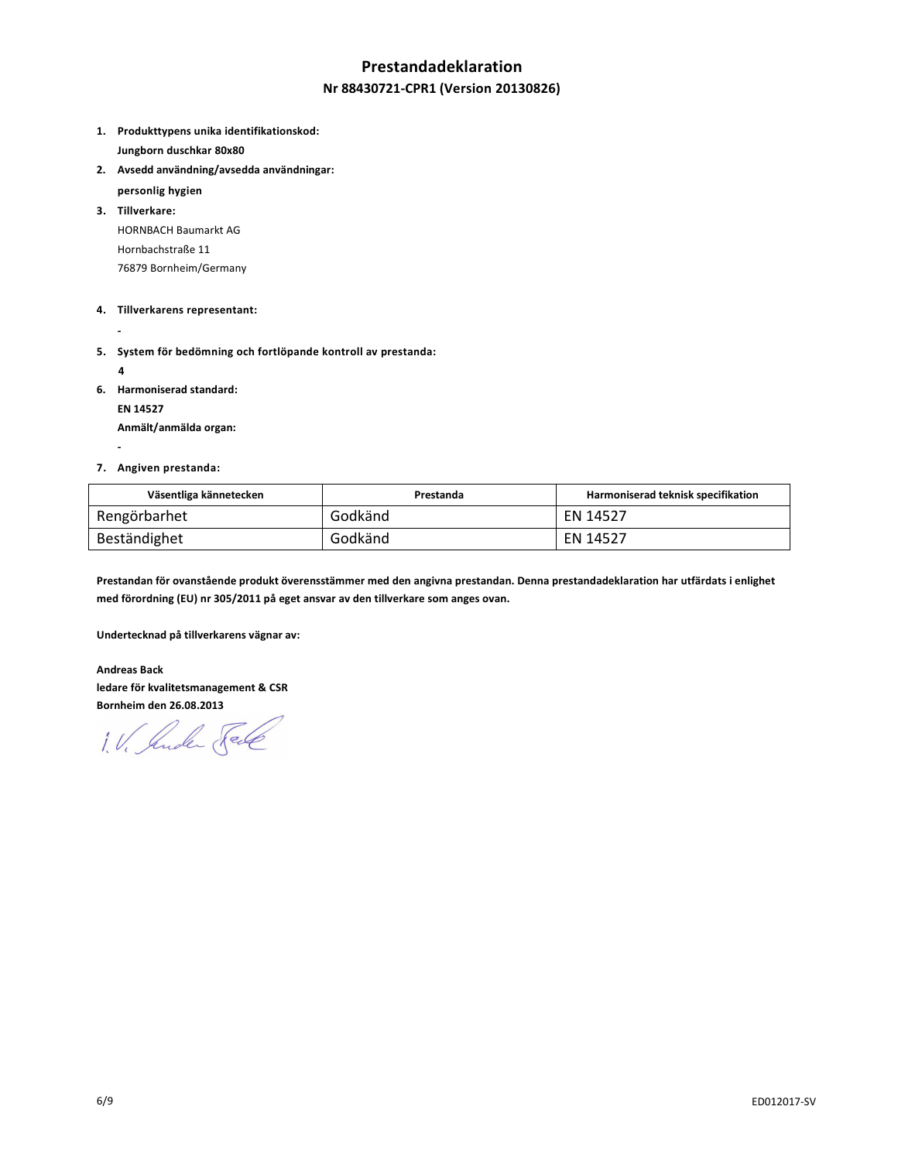## **Prestandadeklaration**

### **Nr 88430721-CPR1 (Version 20130826)**

- **1. Produkttypens unika identifikationskod: Jungborn duschkar 80x80**
- **2. Avsedd användning/avsedda användningar:** 
	- **personlig hygien**
- **3. Tillverkare:**  HORNBACH Baumarkt AG Hornbachstraße 11 76879 Bornheim/Germany
- **4. Tillverkarens representant:**
- 
- **5. System för bedömning och fortlöpande kontroll av prestanda:** 
	- **4**

 **-** 

**6. Harmoniserad standard:** 

 **EN 14527** 

 **Anmält/anmälda organ:** 

#### **7. Angiven prestanda:**

| Väsentliga kännetecken | Prestanda | Harmoniserad teknisk specifikation |
|------------------------|-----------|------------------------------------|
| Rengörbarhet           | Godkänd   | EN 14527                           |
| Beständighet           | Godkänd   | EN 14527                           |

**Prestandan för ovanstående produkt överensstämmer med den angivna prestandan. Denna prestandadeklaration har utfärdats i enlighet med förordning (EU) nr 305/2011 på eget ansvar av den tillverkare som anges ovan.** 

**Undertecknad på tillverkarens vägnar av:** 

**Andreas Back ledare för kvalitetsmanagement & CSR Bornheim den 26.08.2013** 

1. V. Suder Sel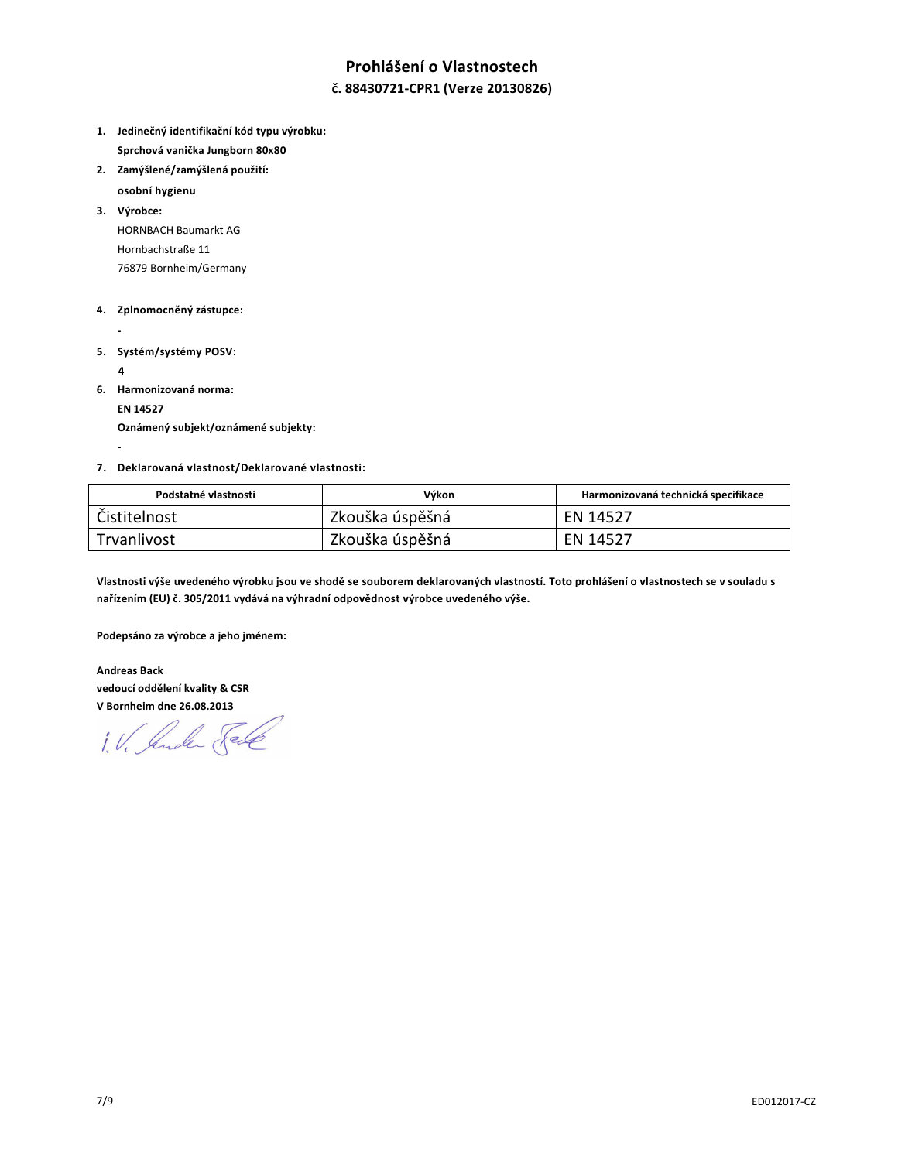# **Prohlášení o Vlastnostech**

### **č. 88430721-CPR1 (Verze 20130826)**

- **1. Jedinečný identifikační kód typu výrobku: Sprchová vanička Jungborn 80x80**
- **2. Zamýšlené/zamýšlená použití:**
- **osobní hygienu**

**3. Výrobce:**  HORNBACH Baumarkt AG Hornbachstraße 11 76879 Bornheim/Germany

#### **4. Zplnomocněný zástupce:**

- 
- **5. Systém/systémy POSV:** 
	- **4**

 **-** 

**6. Harmonizovaná norma:** 

 **EN 14527** 

 **Oznámený subjekt/oznámené subjekty:** 

#### **7. Deklarovaná vlastnost/Deklarované vlastnosti:**

| Podstatné vlastnosti | Výkon           | Harmonizovaná technická specifikace |
|----------------------|-----------------|-------------------------------------|
| Čistitelnost         | Zkouška úspěšná | EN 14527                            |
| Trvanlivost          | Zkouška úspěšná | EN 14527                            |

**Vlastnosti výše uvedeného výrobku jsou ve shodě se souborem deklarovaných vlastností. Toto prohlášení o vlastnostech se v souladu s nařízením (EU) č. 305/2011 vydává na výhradní odpovědnost výrobce uvedeného výše.** 

**Podepsáno za výrobce a jeho jménem:** 

**Andreas Back vedoucí oddělení kvality & CSR V Bornheim dne 26.08.2013** 

1. V. Suder Sel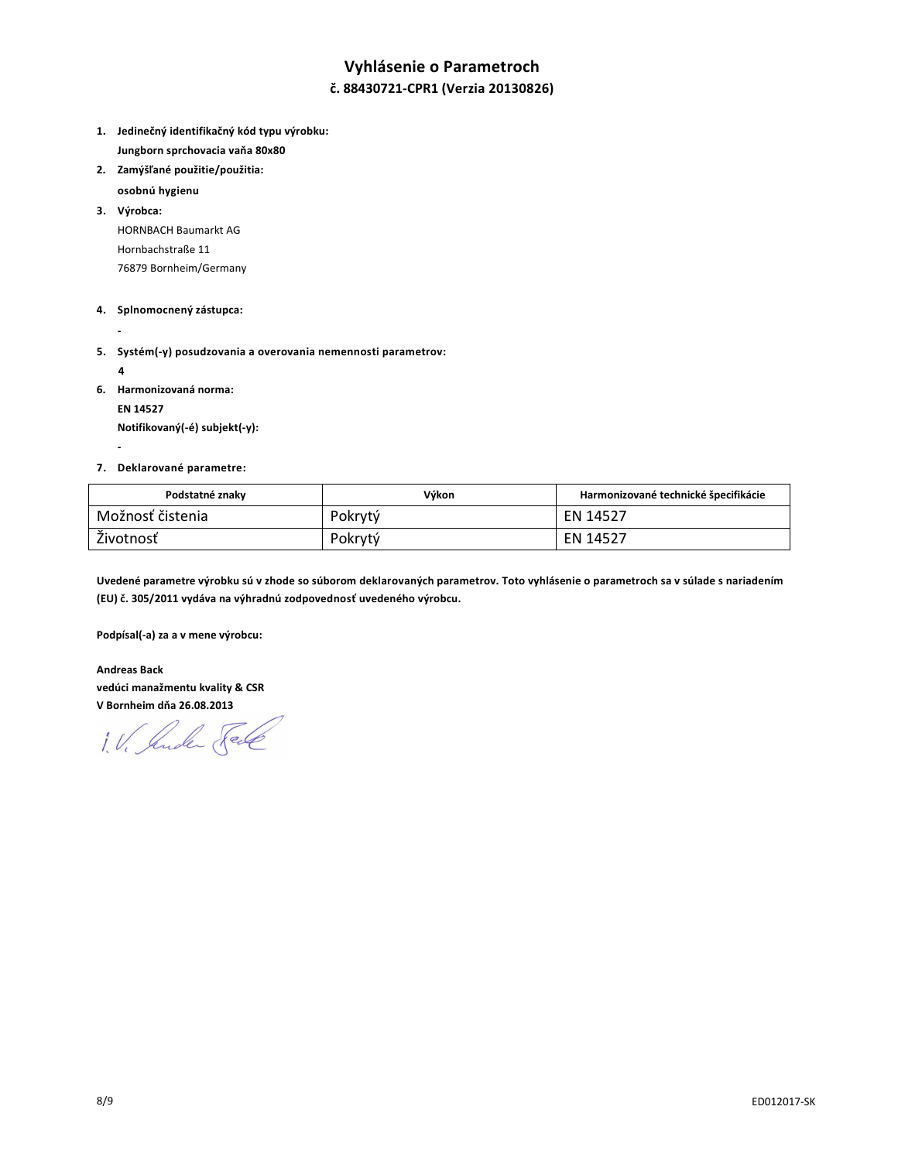# **Vyhlásenie o Parametroch**

### **č. 88430721-CPR1 (Verzia 20130826)**

- **1. Jedinečný identifikačný kód typu výrobku: Jungborn sprchovacia vaňa 80x80**
- **2. Zamýšľané použitie/použitia:** 
	- **osobnú hygienu**
- **3. Výrobca:**  HORNBACH Baumarkt AG Hornbachstraße 11 76879 Bornheim/Germany

#### **4. Splnomocnený zástupca:**

- 
- **5. Systém(-y) posudzovania a overovania nemennosti parametrov:** 
	- **4**

 **-** 

**6. Harmonizovaná norma:** 

 **EN 14527** 

 **Notifikovaný(-é) subjekt(-y):** 

#### **7. Deklarované parametre:**

| Podstatné znaky  | Výkon   | Harmonizované technické špecifikácie |
|------------------|---------|--------------------------------------|
| Možnosť čistenia | Pokrytý | EN 14527                             |
| Životnosť        | Pokrytý | EN 14527                             |

**Uvedené parametre výrobku sú v zhode so súborom deklarovaných parametrov. Toto vyhlásenie o parametroch sa v súlade s nariadením (EU) č. 305/2011 vydáva na výhradnú zodpovednosť uvedeného výrobcu.** 

**Podpísal(-a) za a v mene výrobcu:** 

**Andreas Back vedúci manažmentu kvality & CSR V Bornheim dňa 26.08.2013** 

1. V. Suder Fell